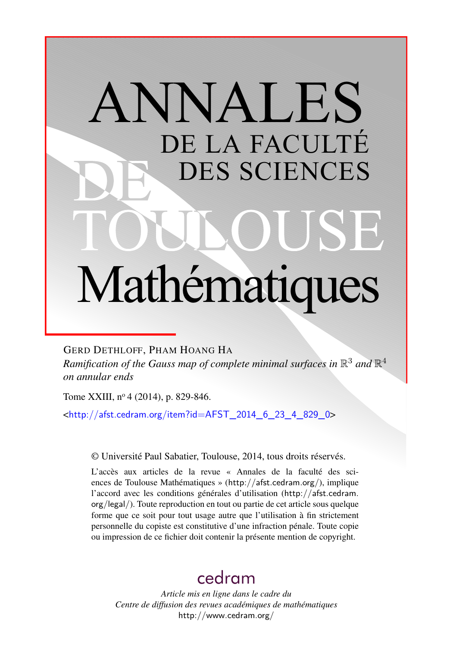# ANNALES DE LA FACULTÉ DES SCIENCES Mathématiques

GERD DETHLOFF, PHAM HOANG HA

Ramification of the Gauss map of complete minimal surfaces in  $\mathbb{R}^3$  and  $\mathbb{R}^4$ *on annular ends*

Tome XXIII, nº 4 (2014), p. 829-846.

<[http://afst.cedram.org/item?id=AFST\\_2014\\_6\\_23\\_4\\_829\\_0](http://afst.cedram.org/item?id=AFST_2014_6_23_4_829_0)>

© Université Paul Sabatier, Toulouse, 2014, tous droits réservés.

L'accès aux articles de la revue « Annales de la faculté des sciences de Toulouse Mathématiques » (<http://afst.cedram.org/>), implique l'accord avec les conditions générales d'utilisation ([http://afst.cedram.](http://afst.cedram.org/legal/) [org/legal/](http://afst.cedram.org/legal/)). Toute reproduction en tout ou partie de cet article sous quelque forme que ce soit pour tout usage autre que l'utilisation à fin strictement personnelle du copiste est constitutive d'une infraction pénale. Toute copie ou impression de ce fichier doit contenir la présente mention de copyright.

## [cedram](http://www.cedram.org/)

*Article mis en ligne dans le cadre du Centre de diffusion des revues académiques de mathématiques* <http://www.cedram.org/>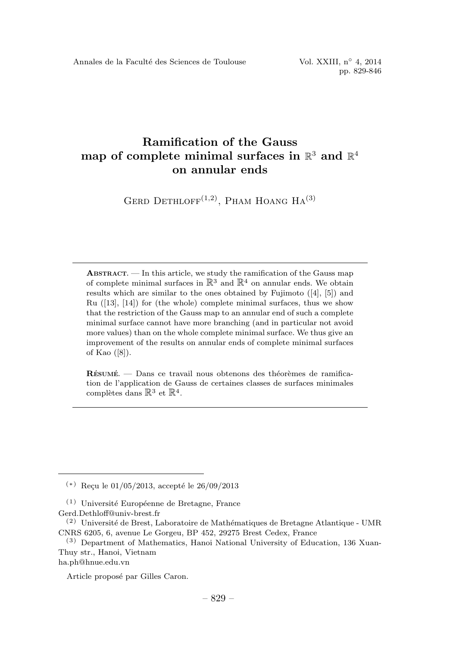### Ramification of the Gauss map of complete minimal surfaces in  $\mathbb{R}^3$  and  $\mathbb{R}^4$ on annular ends

GERD DETHLOFF $(1,2)$ , PHAM HOANG HA $(3)$ 

 $ABSTRACT.$  — In this article, we study the ramification of the Gauss map of complete minimal surfaces in  $\mathbb{R}^3$  and  $\mathbb{R}^4$  on annular ends. We obtain results which are similar to the ones obtained by Fujimoto ([4], [5]) and Ru ([13], [14]) for (the whole) complete minimal surfaces, thus we show that the restriction of the Gauss map to an annular end of such a complete minimal surface cannot have more branching (and in particular not avoid more values) than on the whole complete minimal surface. We thus give an improvement of the results on annular ends of complete minimal surfaces of Kao ([8]).

 $R$ ÉSUMÉ.  $-$  Dans ce travail nous obtenons des théorèmes de ramification de l'application de Gauss de certaines classes de surfaces minimales complètes dans  $\mathbb{R}^3$  et  $\mathbb{R}^4$ .

 $(*)$  Reçu le 01/05/2013, accepté le 26/09/2013

 $(1)$  Université Européenne de Bretagne, France Gerd.Dethloff@univ-brest.fr

 $(2)$  Université de Brest, Laboratoire de Mathématiques de Bretagne Atlantique - UMR CNRS 6205, 6, avenue Le Gorgeu, BP 452, 29275 Brest Cedex, France

<sup>(3)</sup> Department of Mathematics, Hanoi National University of Education, 136 Xuan-Thuy str., Hanoi, Vietnam

ha.ph@hnue.edu.vn

Article proposé par Gilles Caron.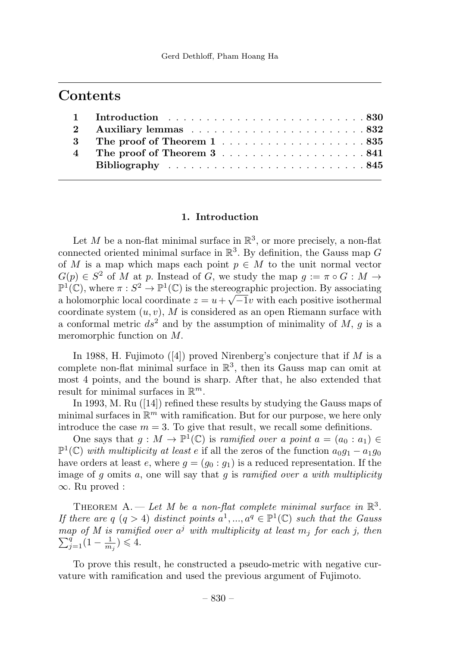## **Contents**

#### 1. Introduction

Let M be a non-flat minimal surface in  $\mathbb{R}^3$ , or more precisely, a non-flat connected oriented minimal surface in  $\mathbb{R}^3$ . By definition, the Gauss map G of M is a map which maps each point  $p \in M$  to the unit normal vector  $G(p) \in S^2$  of M at p. Instead of G, we study the map  $g := \pi \circ G : M \to$  $\mathbb{P}^1(\mathbb{C})$ , where  $\pi : S^2 \to \mathbb{P}^1(\mathbb{C})$  is the stereographic projection. By associating a holomorphic local coordinate  $z = u + \sqrt{-1}v$  with each positive isothermal coordinate system  $(u, v)$ , M is considered as an open Riemann surface with a conformal metric  $ds^2$  and by the assumption of minimality of M, q is a meromorphic function on M.

In 1988, H. Fujimoto  $([4])$  proved Nirenberg's conjecture that if M is a complete non-flat minimal surface in  $\mathbb{R}^3$ , then its Gauss map can omit at most 4 points, and the bound is sharp. After that, he also extended that result for minimal surfaces in  $\mathbb{R}^m$ .

In 1993, M. Ru ([14]) refined these results by studying the Gauss maps of minimal surfaces in  $\mathbb{R}^m$  with ramification. But for our purpose, we here only introduce the case  $m = 3$ . To give that result, we recall some definitions.

One says that  $g : M \to \mathbb{P}^1(\mathbb{C})$  is *ramified over a point*  $a = (a_0 : a_1) \in$  $\mathbb{P}^1(\mathbb{C})$  with multiplicity at least e if all the zeros of the function  $a_0q_1 - a_1q_0$ have orders at least e, where  $g = (g_0 : g_1)$  is a reduced representation. If the image of  $g$  omits  $a$ , one will say that  $g$  is ramified over a with multiplicity ∞. Ru proved :

THEOREM A. — Let M be a non-flat complete minimal surface in  $\mathbb{R}^3$ . If there are q  $(q > 4)$  distinct points  $a^1, ..., a^q \in \mathbb{P}^1(\mathbb{C})$  such that the Gauss map of M is ramified over  $a^j$  with multiplicity at least  $m_j$  for each j, then  $\sum_{j=1}^{q} (1 - a)^j \leq 4$  $\sum_{j=1}^{q} (1 - \frac{1}{m_j}) \leq 4.$ 

To prove this result, he constructed a pseudo-metric with negative curvature with ramification and used the previous argument of Fujimoto.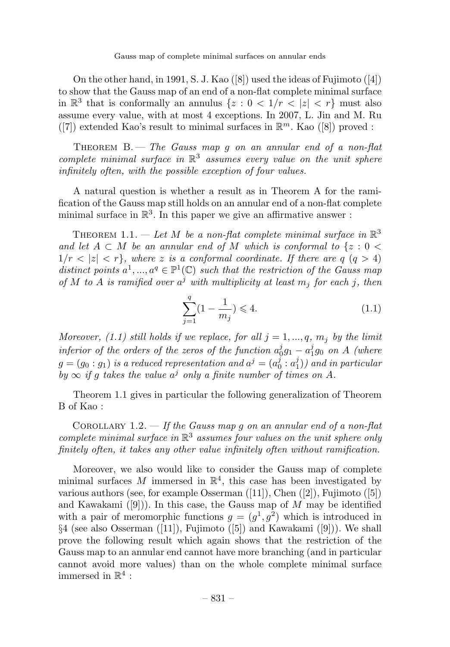Gauss map of complete minimal surfaces on annular ends

On the other hand, in 1991, S. J. Kao ([8]) used the ideas of Fujimoto ([4]) to showthat the Gauss map of an end of a non-flat complete minimal surface in  $\mathbb{R}^3$  that is conformally an annulus  $\{z : 0 < 1/r < |z| < r\}$  must also assume every value, with at most 4 exceptions. In 2007, L. Jin and M. Ru ([7]) extended Kao's result to minimal surfaces in  $\mathbb{R}^m$ . Kao ([8]) proved :

THEOREM  $B.$  – The Gauss map g on an annular end of a non-flat complete minimal surface in  $\mathbb{R}^3$  assumes every value on the unit sphere infinitely often, with the possible exception of four values.

A natural question is whether a result as in Theorem A for the ramification of the Gauss map still holds on an annular end of a non-flat complete minimal surface in  $\mathbb{R}^3$ . In this paper we give an affirmative answer :

THEOREM 1.1. — Let M be a non-flat complete minimal surface in  $\mathbb{R}^3$ and let  $A \subset M$  be an annular end of M which is conformal to  $\{z : 0 \leq \}$  $1/r < |z| < r$ , where z is a conformal coordinate. If there are q  $(q > 4)$ distinct points  $a^1, ..., a^q \in \mathbb{P}^1(\mathbb{C})$  such that the restriction of the Gauss map of M to A is ramified over  $a^j$  with multiplicity at least  $m_j$  for each j, then

$$
\sum_{j=1}^{q} (1 - \frac{1}{m_j}) \leq 4. \tag{1.1}
$$

Moreover, (1.1) still holds if we replace, for all  $j = 1, ..., q, m_j$  by the limit inferior of the orders of the zeros of the function  $a_0^j g_1 - a_1^j g_0$  on A (where  $g=(g_0:g_1)$  is a reduced representation and  $a^j=(a_0^j:a_1^j))$  and in particular by  $\infty$  if g takes the value  $a^j$  only a finite number of times on A.

Theorem 1.1 gives in particular the following generalization of Theorem B of Kao :

COROLLARY 1.2.  $-$  If the Gauss map g on an annular end of a non-flat complete minimal surface in  $\mathbb{R}^3$  assumes four values on the unit sphere only finitely often, it takes any other value infinitely often without ramification.

Moreover, we also would like to consider the Gauss map of complete minimal surfaces M immersed in  $\mathbb{R}^4$ , this case has been investigated by various authors (see, for example Osserman ([11]), Chen ([2]), Fujimoto ([5]) and Kawakami  $([9])$ . In this case, the Gauss map of M may be identified with a pair of meromorphic functions  $g = (g^1, g^2)$  which is introduced in §4 (see also Osserman ([11]), Fujimoto ([5]) and Kawakami ([9])). We shall prove the following result which again shows that the restriction of the Gauss map to an annular end cannot have more branching (and in particular cannot avoid more values) than on the whole complete minimal surface immersed in  $\mathbb{R}^4$ :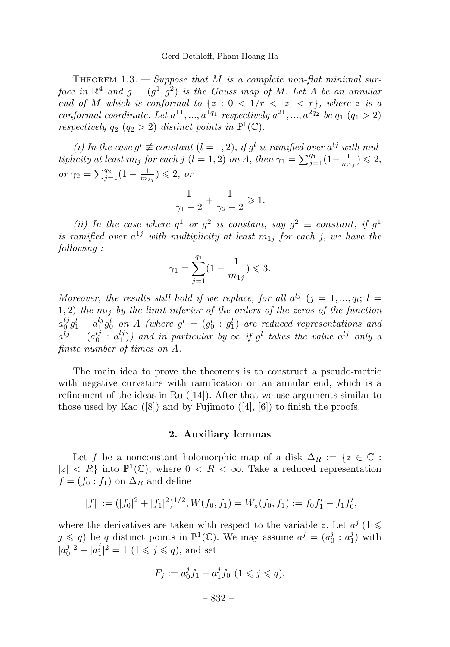THEOREM  $1.3.$  - Suppose that M is a complete non-flat minimal surface in  $\mathbb{R}^4$  and  $g = (g^1, g^2)$  is the Gauss map of M. Let A be an annular end of M which is conformal to  $\{z : 0 < 1/r < |z| < r\}$ , where z is a conformal coordinate. Let  $a^{11},...,a^{1q_1}$  respectively  $a^{21},...,a^{2q_2}$  be  $q_1$   $(q_1 > 2)$ respectively  $q_2$   $(q_2 > 2)$  distinct points in  $\mathbb{P}^1(\mathbb{C})$ .

(i) In the case  $g^l \not\equiv constant$   $(l = 1, 2)$ , if  $g^l$  is ramified over  $a^{lj}$  with multiplicity at least  $m_{lj}$  for each j (l = 1, 2) on A, then  $\gamma_1 = \sum_{j=1}^{q_1} (1 - \frac{1}{m_{1j}}) \leqslant 2$ , or  $\gamma_2 = \sum_{j=1}^{q_2} (1 - \frac{1}{m_{2j}}) \leq 2$ , or

$$
\frac{1}{\gamma_1 - 2} + \frac{1}{\gamma_2 - 2} \geqslant 1.
$$

(ii) In the case where  $g^1$  or  $g^2$  is constant, say  $g^2 \equiv constant$ , if  $g^1$ is ramified over  $a^{1j}$  with multiplicity at least  $m_{1j}$  for each j, we have the following :

$$
\gamma_1 = \sum_{j=1}^{q_1} (1 - \frac{1}{m_{1j}}) \leq 3.
$$

Moreover, the results still hold if we replace, for all  $a^{lj}$  ( $j = 1, ..., q_l; l =$ 1, 2) the  $m_{1i}$  by the limit inferior of the orders of the zeros of the function  $a_0^{lj}g_1^l - a_1^{lj}g_0^l$  on A (where  $g^l = (g_0^l : g_1^l)$  are reduced representations and  $a^{lj} = (a_0^{lj} : a_1^{lj})$  and in particular by  $\infty$  if  $g^l$  takes the value  $a^{lj}$  only a finite number of times on A.

The main idea to prove the theorems is to construct a pseudo-metric with negative curvature with ramification on an annular end, which is a refinement of the ideas in Ru  $(14)$ . After that we use arguments similar to those used by Kao  $([8])$  and by Fujimoto  $([4], [6])$  to finish the proofs.

#### 2. Auxiliary lemmas

Let f be a nonconstant holomorphic map of a disk  $\Delta_R := \{z \in \mathbb{C} :$  $|z| < R$  into  $\mathbb{P}^1(\mathbb{C})$ , where  $0 < R < \infty$ . Take a reduced representation  $f = (f_0 : f_1)$  on  $\Delta_R$  and define

$$
||f|| := (|f_0|^2 + |f_1|^2)^{1/2}, W(f_0, f_1) = W_z(f_0, f_1) := f_0f'_1 - f_1f'_0,
$$

where the derivatives are taken with respect to the variable z. Let  $a^j$  (1  $\leq$  $j \leq q$ ) be q distinct points in  $\mathbb{P}^1(\mathbb{C})$ . We may assume  $a^j = (a_0^j : a_1^j)$  with  $|a_0^j|^2 + |a_1^j|^2 = 1$   $(1 \le j \le q)$ , and set

$$
F_j := a_0^j f_1 - a_1^j f_0 \ (1 \leq j \leq q).
$$

– 832 –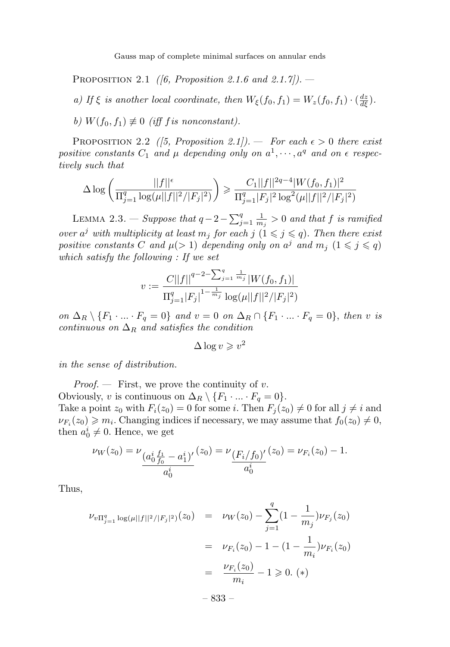Gauss map of complete minimal surfaces on annular ends

PROPOSITION 2.1 (6, Proposition 2.1.6 and 2.1.7). —

a) If  $\xi$  is another local coordinate, then  $W_{\xi}(f_0, f_1) = W_z(f_0, f_1) \cdot (\frac{dz}{d\xi}).$ 

b)  $W(f_0, f_1) \not\equiv 0$  (iff f is nonconstant).

PROPOSITION 2.2 ([5, Proposition 2.1]). — For each  $\epsilon > 0$  there exist positive constants  $C_1$  and  $\mu$  depending only on  $a^1, \dots, a^q$  and on  $\epsilon$  respectively such that

$$
\Delta \log \left( \frac{||f||^{\epsilon}}{\Pi_{j=1}^{q} \log(\mu ||f||^{2}/|F_{j}|^{2})} \right) \geq \frac{C_{1}||f||^{2q-4}|W(f_{0},f_{1})|^{2}}{\Pi_{j=1}^{q}|F_{j}|^{2} \log^{2}(\mu ||f||^{2}/|F_{j}|^{2})}
$$

LEMMA 2.3. — Suppose that  $q-2-\sum_{j=1}^q\frac{1}{m_j}>0$  and that f is ramified over  $a^j$  with multiplicity at least  $m_j$  for each  $j$   $(1 \leq j \leq q)$ . Then there exist positive constants C and  $\mu$ (> 1) depending only on  $a^j$  and  $m_j$   $(1 \leq j \leq q)$ which satisfy the following : If we set

$$
v := \frac{C||f||^{q-2-\sum_{j=1}^q \frac{1}{m_j}}|W(f_0, f_1)|}{\prod_{j=1}^q |F_j|^{1-\frac{1}{m_j}} \log(\mu||f||^2/|F_j|^2)}
$$

on  $\Delta_R \setminus \{F_1 \cdot \ldots \cdot F_q = 0\}$  and  $v = 0$  on  $\Delta_R \cap \{F_1 \cdot \ldots \cdot F_q = 0\}$ , then v is continuous on  $\Delta_R$  and satisfies the condition

$$
\Delta \log v \geqslant v^2
$$

in the sense of distribution.

*Proof.*  $\qquad$  First, we prove the continuity of v. Obviously, v is continuous on  $\Delta_R \setminus \{F_1 \cdot \ldots \cdot F_q = 0\}.$ Take a point  $z_0$  with  $F_i(z_0) = 0$  for some i. Then  $F_i(z_0) \neq 0$  for all  $j \neq i$  and  $\nu_{F_i}(z_0) \geq m_i$ . Changing indices if necessary, we may assume that  $f_0(z_0) \neq 0$ , then  $a_0^i \neq 0$ . Hence, we get

$$
\nu_W(z_0) = \nu_{\underbrace{(a_0^i \underline{f_1}}_{a_0^i} - a_1^i)'}(z_0) = \nu_{\underbrace{(F_i/f_0)'}_{a_0^i}(z_0) = \nu_{F_i}(z_0) - 1.
$$

Thus,

$$
\nu_{v\Pi_{j=1}^{q} \log(\mu||f||^{2}/|F_{j}|^{2})}(z_{0}) = \nu_{W}(z_{0}) - \sum_{j=1}^{q} (1 - \frac{1}{m_{j}}) \nu_{F_{j}}(z_{0})
$$

$$
= \nu_{F_{i}}(z_{0}) - 1 - (1 - \frac{1}{m_{i}}) \nu_{F_{i}}(z_{0})
$$

$$
= \frac{\nu_{F_{i}}(z_{0})}{m_{i}} - 1 \geq 0. (*)
$$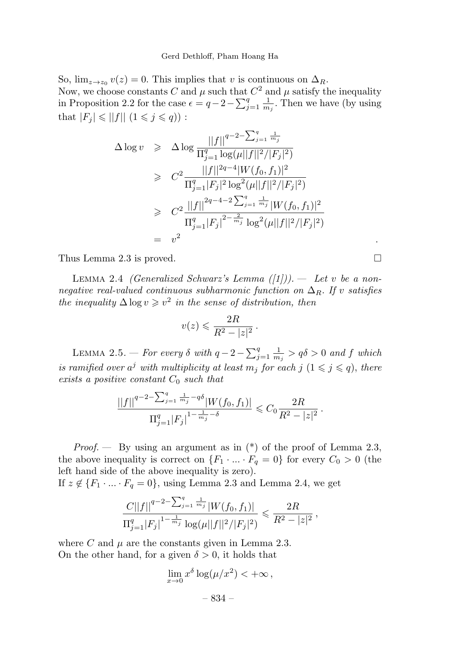So,  $\lim_{z\to z_0} v(z)=0$ . This implies that v is continuous on  $\Delta_R$ . Now, we choose constants C and  $\mu$  such that  $C^2$  and  $\mu$  satisfy the inequality in Proposition 2.2 for the case  $\epsilon = q - 2 - \sum_{j=1}^{q} \frac{1}{m_j}$ . Then we have (by using that  $|F_j| \le ||f|| (1 \le j \le q))$ :

$$
\Delta \log v \geq \Delta \log \frac{||f||^{q-2-\sum_{j=1}^{q} \frac{1}{m_j}}}{\Pi_{j=1}^{q} \log(\mu ||f||^{2}/|F_{j}|^{2})}
$$
\n
$$
\geq C^{2} \frac{||f||^{2q-4}|W(f_{0}, f_{1})|^{2}}{\Pi_{j=1}^{q} |F_{j}|^{2} \log^{2}(\mu ||f||^{2}/|F_{j}|^{2})}
$$
\n
$$
\geq C^{2} \frac{||f||^{2q-4-2\sum_{j=1}^{q} \frac{1}{m_j}}|W(f_{0}, f_{1})|^{2}}{\Pi_{j=1}^{q} |F_{j}|^{2-\frac{2}{m_j}} \log^{2}(\mu ||f||^{2}/|F_{j}|^{2})}
$$
\n
$$
= v^{2}.
$$

Thus Lemma 2.3 is proved.

LEMMA 2.4 *(Generalized Schwarz's Lemma*  $([1]))$ *. — Let v be a non*negative real-valued continuous subharmonic function on  $\Delta_R$ . If v satisfies the inequality  $\Delta \log v \geq v^2$  in the sense of distribution, then

$$
v(z) \leqslant \frac{2R}{R^2 - |z|^2} \, .
$$

LEMMA 2.5. — For every  $\delta$  with  $q-2-\sum_{j=1}^q\frac{1}{m_j} > q\delta > 0$  and  $f$  which is ramified over  $a^j$  with multiplicity at least  $m_j$  for each j  $(1 \leq j \leq q)$ , there exists a positive constant  $C_0$  such that

$$
\frac{ \left| \left| f \right| \right|^{q-2 - \sum_{j=1}^q \frac{1}{m_j} - q \delta} \left| W(f_0, f_1) \right| }{ \Pi_{j=1}^q \left| F_j \right|^{1 - \frac{1}{m_j} - \delta} } \leqslant C_0 \frac{2R}{R^2 - |z|^2} \, .
$$

*Proof.* — By using an argument as in  $(*)$  of the proof of Lemma 2.3, the above inequality is correct on  $\{F_1 \cdot \ldots \cdot F_q = 0\}$  for every  $C_0 > 0$  (the left hand side of the above inequality is zero).

If 
$$
z \notin \{F_1 \cdot \ldots \cdot F_q = 0\}
$$
, using Lemma 2.3 and Lemma 2.4, we get

$$
\frac{C||f||^{q-2-\sum_{j=1}^q\frac{1}{m_j}}|W(f_0,f_1)|}{\Pi_{j=1}^q|F_j|^{1-\frac{1}{m_j}}\log(\mu||f||^2/|F_j|^2)} \leq \frac{2R}{R^2-|z|^2},
$$

where C and  $\mu$  are the constants given in Lemma 2.3. On the other hand, for a given  $\delta > 0$ , it holds that

$$
\lim_{x \to 0} x^{\delta} \log(\mu/x^2) < +\infty ,
$$
  
- 834 -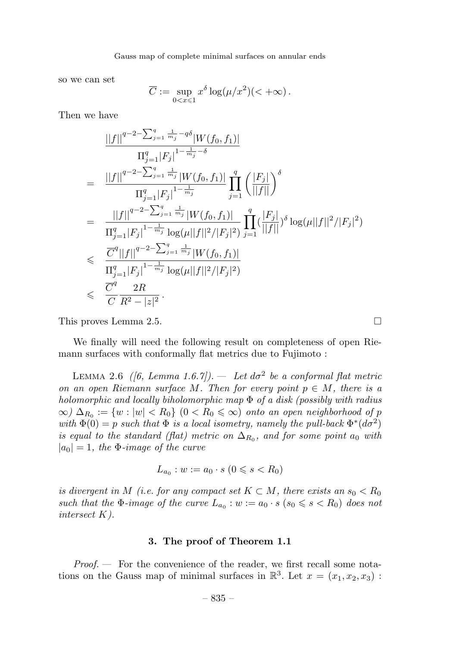so we can set

$$
\overline{C} := \sup_{0 < x \leq 1} x^{\delta} \log(\mu/x^2) \, (< +\infty).
$$

Then we have

$$
\frac{||f||^{q-2-\sum_{j=1}^{q} \frac{1}{m_j} - q\delta} |W(f_0, f_1)|}{\prod_{j=1}^{q} |F_j|^{1-\frac{1}{m_j} - \delta}}
$$
\n
$$
= \frac{||f||^{q-2-\sum_{j=1}^{q} \frac{1}{m_j}} |W(f_0, f_1)|}{\prod_{j=1}^{q} |F_j|^{1-\frac{1}{m_j}}} \prod_{j=1}^{q} \left(\frac{|F_j|}{||f||}\right)^{\delta}
$$
\n
$$
= \frac{||f||^{q-2-\sum_{j=1}^{q} \frac{1}{m_j}} |W(f_0, f_1)|}{\prod_{j=1}^{q} |F_j|^{1-\frac{1}{m_j}} \log(\mu||f||^2/|F_j|^2)} \prod_{j=1}^{q} (\frac{|F_j|}{||f||})^{\delta} \log(\mu||f||^2/|F_j|^2)
$$
\n
$$
\leq \frac{\overline{C}^q ||f||^{q-2-\sum_{j=1}^{q} \frac{1}{m_j}} |W(f_0, f_1)|}{\prod_{j=1}^{q} |F_j|^{1-\frac{1}{m_j}} \log(\mu||f||^2/|F_j|^2)}
$$
\n
$$
\leq \frac{\overline{C}^q}{C} \frac{2R}{R^2 - |z|^2}.
$$

This proves Lemma 2.5.

We finally will need the following result on completeness of open Riemann surfaces with conformally flat metrics due to Fujimoto :

LEMMA 2.6 ([6, Lemma 1.6.7]). — Let  $d\sigma^2$  be a conformal flat metric on an open Riemann surface M. Then for every point  $p \in M$ , there is a holomorphic and locally biholomorphic map  $\Phi$  of a disk (possibly with radius  $\infty$ )  $\Delta_{R_0} := \{w : |w| < R_0\}$   $(0 < R_0 \leq \infty)$  onto an open neighborhood of p with  $\Phi(0) = p$  such that  $\Phi$  is a local isometry, namely the pull-back  $\Phi^*(d\sigma^2)$ is equal to the standard (flat) metric on  $\Delta_{R_0}$ , and for some point  $a_0$  with  $|a_0| = 1$ , the  $\Phi$ -image of the curve

$$
L_{a_0} : w := a_0 \cdot s \ (0 \leq s < R_0)
$$

is divergent in M (i.e. for any compact set  $K \subset M$ , there exists an  $s_0 < R_0$ such that the  $\Phi$ -image of the curve  $L_{a_0}: w := a_0 \cdot s \ (s_0 \leq s \leq R_0)$  does not intersect K).

#### 3. The proof of Theorem 1.1

 $Proof.$  — For the convenience of the reader, we first recall some notations on the Gauss map of minimal surfaces in  $\mathbb{R}^3$ . Let  $x = (x_1, x_2, x_3)$ :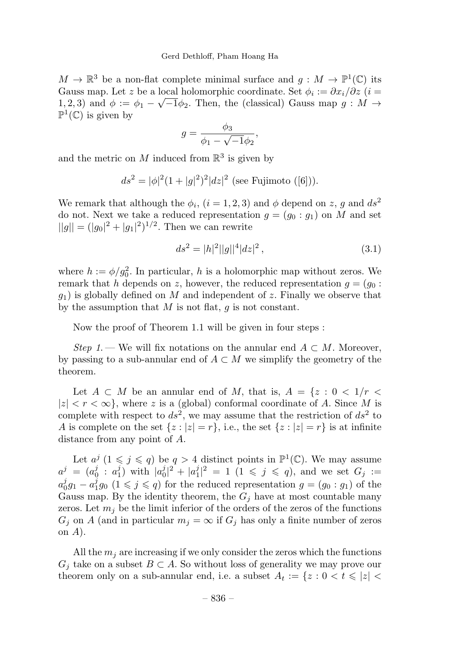$M \to \mathbb{R}^3$  be a non-flat complete minimal surface and  $g : M \to \mathbb{P}^1(\mathbb{C})$  its Gauss map. Let z be a local holomorphic coordinate. Set  $\phi_i := \partial x_i / \partial z$  (i = 1, 2, 3) and  $\phi := \phi_1 - \sqrt{-1} \phi_2$ . Then, the (classical) Gauss map  $q : M \rightarrow$  $\mathbb{P}^1(\mathbb{C})$  is given by

$$
g = \frac{\phi_3}{\phi_1 - \sqrt{-1}\phi_2},
$$

and the metric on  $M$  induced from  $\mathbb{R}^3$  is given by

$$
ds^{2} = |\phi|^{2} (1 + |g|^{2})^{2} |dz|^{2}
$$
 (see Fujimoto ([6])).

We remark that although the  $\phi_i$ ,  $(i = 1, 2, 3)$  and  $\phi$  depend on z, g and  $ds^2$ do not. Next we take a reduced representation  $g = (g_0 : g_1)$  on M and set  $||g|| = (|g_0|^2 + |g_1|^2)^{1/2}$ . Then we can rewrite

$$
ds^2 = |h|^2 ||g||^4 |dz|^2 , \qquad (3.1)
$$

where  $h := \phi/g_0^2$ . In particular, h is a holomorphic map without zeros. We remark that h depends on z, however, the reduced representation  $g = (g_0 :$  $g_1$ ) is globally defined on M and independent of z. Finally we observe that by the assumption that  $M$  is not flat,  $q$  is not constant.

Nowthe proof of Theorem 1.1 will be given in four steps :

Step 1. — We will fix notations on the annular end  $A \subset M$ . Moreover, by passing to a sub-annular end of  $A \subset M$  we simplify the geometry of the theorem.

Let  $A \subset M$  be an annular end of M, that is,  $A = \{z : 0 \lt 1/r \lt 1\}$  $|z| < r < \infty$ , where z is a (global) conformal coordinate of A. Since M is complete with respect to  $ds^2$ , we may assume that the restriction of  $ds^2$  to A is complete on the set  $\{z : |z| = r\}$ , i.e., the set  $\{z : |z| = r\}$  is at infinite distance from any point of A.

Let  $a^j$   $(1 \leq j \leq q)$  be  $q > 4$  distinct points in  $\mathbb{P}^1(\mathbb{C})$ . We may assume  $a^j = (a_0^j : a_1^j)$  with  $|a_0^j|^2 + |a_1^j|^2 = 1$   $(1 \le j \le q)$ , and we set  $G_j :=$  $a_0^j g_1 - a_1^j g_0$   $(1 \leq j \leq q)$  for the reduced representation  $g = (g_0 : g_1)$  of the Gauss map. By the identity theorem, the  $G_i$  have at most countable many zeros. Let  $m_j$  be the limit inferior of the orders of the zeros of the functions  $G_j$  on A (and in particular  $m_j = \infty$  if  $G_j$  has only a finite number of zeros on  $A$ ).

All the  $m_i$  are increasing if we only consider the zeros which the functions  $G_j$  take on a subset  $B \subset A$ . So without loss of generality we may prove our theorem only on a sub-annular end, i.e. a subset  $A_t := \{z : 0 < t \leqslant |z| < \}$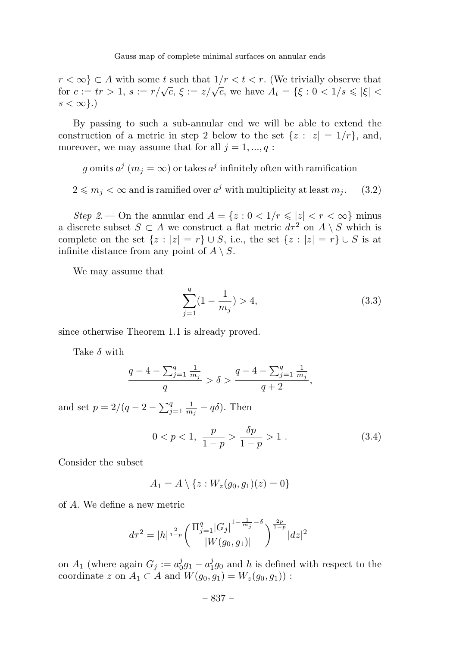$r < \infty$   $\subset A$  with some t such that  $1/r < t < r$ . (We trivially observe that for  $c := tr > 1$ ,  $s := r/\sqrt{c}$ ,  $\xi := z/\sqrt{c}$ , we have  $A_t = {\xi : 0 < 1/s \leq |\xi|$  $s < \infty$ .)

By passing to such a sub-annular end we will be able to extend the construction of a metric in step 2 below to the set  $\{z : |z| = 1/r\}$ , and, moreover, we may assume that for all  $j = 1, ..., q$ :

g omits  $a^j$  ( $m_j = \infty$ ) or takes  $a^j$  infinitely often with ramification

 $2 \leq m_j < \infty$  and is ramified over  $a^j$  with multiplicity at least  $m_j$ . (3.2)

Step 2. — On the annular end  $A = \{z : 0 < 1/r \leqslant |z| < r < \infty\}$  minus a discrete subset  $S \subset A$  we construct a flat metric  $d\tau^2$  on  $A \setminus S$  which is complete on the set  $\{z : |z| = r\} \cup S$ , i.e., the set  $\{z : |z| = r\} \cup S$  is at infinite distance from any point of  $A \setminus S$ .

We may assume that

$$
\sum_{j=1}^{q} (1 - \frac{1}{m_j}) > 4,\t\t(3.3)
$$

since otherwise Theorem 1.1 is already proved.

Take  $\delta$  with

$$
\frac{q-4-\sum_{j=1}^q\frac{1}{m_j}}{q} > \delta > \frac{q-4-\sum_{j=1}^q\frac{1}{m_j}}{q+2},
$$

and set  $p = 2/(q - 2 - \sum_{j=1}^{q} \frac{1}{m_j} - q\delta)$ . Then

$$
0 < p < 1, \ \frac{p}{1-p} > \frac{\delta p}{1-p} > 1 \ . \tag{3.4}
$$

Consider the subset

$$
A_1 = A \setminus \{z : W_z(g_0, g_1)(z) = 0\}
$$

of A. We define a newmetric

$$
d\tau^{2} = |h|^{\frac{2}{1-p}} \left( \frac{\prod_{j=1}^{q} |G_{j}|^{1-\frac{1}{m_{j}}-\delta}}{|W(g_{0}, g_{1})|} \right)^{\frac{2p}{1-p}} |dz|^{2}
$$

on  $A_1$  (where again  $G_j := a_0^j g_1 - a_1^j g_0$  and h is defined with respect to the coordinate z on  $A_1 \subset A$  and  $W(g_0, g_1) = W_z(g_0, g_1)$ :

$$
-837-\\
$$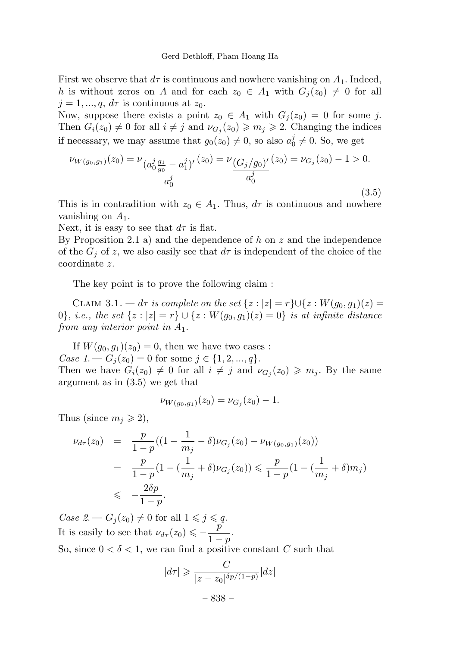First we observe that  $d\tau$  is continuous and nowhere vanishing on  $A_1$ . Indeed, h is without zeros on A and for each  $z_0 \in A_1$  with  $G_i(z_0) \neq 0$  for all  $j = 1, ..., q$ ,  $d\tau$  is continuous at  $z_0$ .

Now, suppose there exists a point  $z_0 \in A_1$  with  $G_i(z_0) = 0$  for some j. Then  $G_i(z_0) \neq 0$  for all  $i \neq j$  and  $\nu_{G_j}(z_0) \geq m_j \geq 2$ . Changing the indices if necessary, we may assume that  $g_0(z_0) \neq 0$ , so also  $a_0^j \neq 0$ . So, we get

$$
\nu_{W(g_0,g_1)}(z_0) = \nu_{\underbrace{(a_0^j \, g_0 - a_1^j)'}_{a_0^j} - a_1^j} (z_0) = \nu_{\underbrace{(G_j/g_0)'}_{a_0^j} (z_0) = \nu_{G_j}(z_0) - 1 > 0. \tag{3.5}
$$

This is in contradition with  $z_0 \in A_1$ . Thus,  $d\tau$  is continuous and nowhere vanishing on  $A_1$ .

Next, it is easy to see that  $d\tau$  is flat.

By Proposition 2.1 a) and the dependence of h on z and the independence of the  $G_i$  of z, we also easily see that  $d\tau$  is independent of the choice of the coordinate z.

The key point is to prove the following claim :

CLAIM 3.1. —  $d\tau$  is complete on the set  $\{z : |z| = r\} \cup \{z : W(g_0, g_1)(z) =$ 0}, i.e., the set  $\{z : |z| = r\} \cup \{z : W(g_0, g_1)(z) = 0\}$  is at infinite distance from any interior point in  $A_1$ .

If  $W(q_0, q_1)(z_0) = 0$ , then we have two cases : Case 1. —  $G_i(z_0) = 0$  for some  $j \in \{1, 2, ..., q\}.$ Then we have  $G_i(z_0) \neq 0$  for all  $i \neq j$  and  $\nu_{G_j}(z_0) \geq m_j$ . By the same argument as in (3.5) we get that

$$
\nu_{W(g_0,g_1)}(z_0)=\nu_{G_j}(z_0)-1.
$$

Thus (since  $m_j \geqslant 2$ ),

$$
\nu_{d\tau}(z_0) = \frac{p}{1-p}((1-\frac{1}{m_j}-\delta)\nu_{G_j}(z_0) - \nu_{W(g_0,g_1)}(z_0))
$$
  
= 
$$
\frac{p}{1-p}(1-(\frac{1}{m_j}+\delta)\nu_{G_j}(z_0)) \le \frac{p}{1-p}(1-(\frac{1}{m_j}+\delta)m_j)
$$
  

$$
\le -\frac{2\delta p}{1-p}.
$$

Case  $2 - G_i(z_0) \neq 0$  for all  $1 \leq j \leq q$ . It is easily to see that  $\nu_{d\tau}(z_0) \leq -\frac{p}{1-p}$ . So, since  $0 < \delta < 1$ , we can find a positive constant C such that

$$
|d\tau| \geqslant \frac{C}{|z - z_0|^{\delta p/(1-p)}}|dz|
$$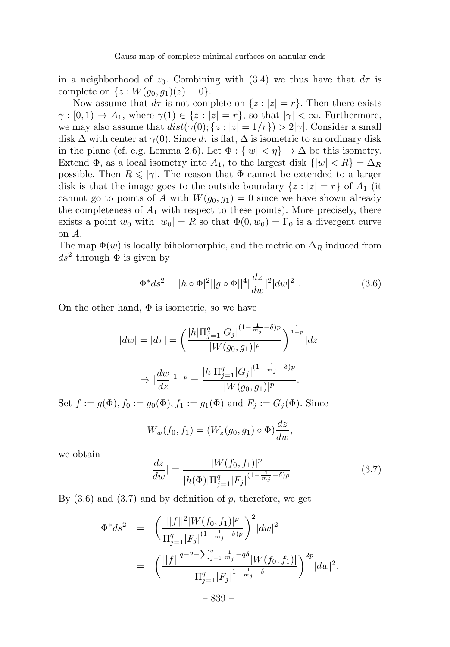in a neighborhood of  $z_0$ . Combining with (3.4) we thus have that  $d\tau$  is complete on  $\{z: W(g_0, g_1)(z)=0\}.$ 

Now assume that  $d\tau$  is not complete on  $\{z : |z| = r\}$ . Then there exists  $\gamma : [0,1) \to A_1$ , where  $\gamma(1) \in \{z : |z| = r\}$ , so that  $|\gamma| < \infty$ . Furthermore, we may also assume that  $dist(\gamma(0); \{z : |z| = 1/r\}) > 2|\gamma|$ . Consider a small disk  $\Delta$  with center at  $\gamma(0)$ . Since  $d\tau$  is flat,  $\Delta$  is isometric to an ordinary disk in the plane (cf. e.g. Lemma 2.6). Let  $\Phi: \{ |w| < \eta \} \to \Delta$  be this isometry. Extend  $\Phi$ , as a local isometry into  $A_1$ , to the largest disk  $\{|w| < R\} = \Delta_R$ possible. Then  $R \leq |\gamma|$ . The reason that  $\Phi$  cannot be extended to a larger disk is that the image goes to the outside boundary  $\{z : |z| = r\}$  of  $A_1$  (it cannot go to points of A with  $W(g_0, g_1) = 0$  since we have shown already the completeness of  $A_1$  with respect to these points). More precisely, there exists a point  $w_0$  with  $|w_0| = R$  so that  $\Phi(0, w_0) = \Gamma_0$  is a divergent curve on A.

The map  $\Phi(w)$  is locally biholomorphic, and the metric on  $\Delta_R$  induced from  $ds^2$  through  $\Phi$  is given by

$$
\Phi^* ds^2 = |h \circ \Phi|^2 ||g \circ \Phi||^4 \left| \frac{dz}{dw} \right|^2 |dw|^2.
$$
 (3.6)

On the other hand,  $\Phi$  is isometric, so we have

$$
|dw| = |d\tau| = \left(\frac{|h|\Pi_{j=1}^q |G_j|^{(1-\frac{1}{m_j}-\delta)p}}{|W(g_0, g_1)|^p}\right)^{\frac{1}{1-p}} |dz|
$$
  

$$
\Rightarrow |\frac{dw}{dz}|^{1-p} = \frac{|h|\Pi_{j=1}^q |G_j|^{(1-\frac{1}{m_j}-\delta)p}}{|W(g_0, g_1)|^p}.
$$

Set  $f := g(\Phi)$ ,  $f_0 := g_0(\Phi)$ ,  $f_1 := g_1(\Phi)$  and  $F_j := G_j(\Phi)$ . Since

$$
W_w(f_0, f_1) = (W_z(g_0, g_1) \circ \Phi) \frac{dz}{dw},
$$

we obtain

$$
\left|\frac{dz}{dw}\right| = \frac{|W(f_0, f_1)|^p}{|h(\Phi)|\Pi_{j=1}^q |F_j|^{(1 - \frac{1}{m_j} - \delta)p}}\tag{3.7}
$$

By  $(3.6)$  and  $(3.7)$  and by definition of p, therefore, we get

$$
\Phi^* ds^2 = \left( \frac{||f||^2 |W(f_0, f_1)|^p}{\Pi_{j=1}^q |F_j|^{(1 - \frac{1}{m_j} - \delta)p}} \right)^2 |dw|^2
$$
  
= 
$$
\left( \frac{||f||^{q-2 - \sum_{j=1}^q \frac{1}{m_j} - q\delta} |W(f_0, f_1)|}{\Pi_{j=1}^q |F_j|^{1 - \frac{1}{m_j} - \delta}} \right)^{2p} |dw|^2.
$$
  
- 839 -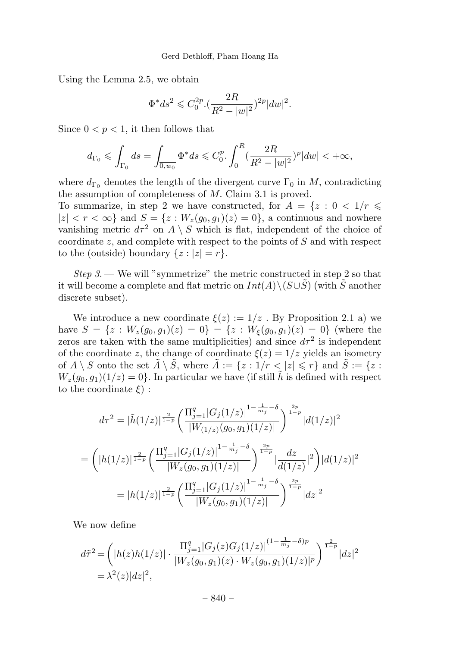Using the Lemma 2.5, we obtain

$$
\Phi^* ds^2 \leq C_0^{2p} \cdot \left(\frac{2R}{R^2 - |w|^2}\right)^{2p} |dw|^2.
$$

Since  $0 < p < 1$ , it then follows that

$$
d_{\Gamma_0} \leq \int_{\Gamma_0} ds = \int_{\overline{0,w_0}} \Phi^* ds \leq C_0^p \cdot \int_0^R (\frac{2R}{R^2 - |w|^2})^p |dw| < +\infty,
$$

where  $d_{\Gamma_0}$  denotes the length of the divergent curve  $\Gamma_0$  in M, contradicting the assumption of completeness of M. Claim 3.1 is proved.

To summarize, in step 2 we have constructed, for  $A = \{z : 0 \lt 1/r \leq$  $|z| < r < \infty$  and  $S = \{z : W_z(g_0, g_1)(z) = 0\}$ , a continuous and nowhere vanishing metric  $d\tau^2$  on  $A \setminus S$  which is flat, independent of the choice of coordinate  $z$ , and complete with respect to the points of  $S$  and with respect to the (outside) boundary  $\{z : |z| = r\}.$ 

Step  $3$ . — We will "symmetrize" the metric constructed in step 2 so that it will become a complete and flat metric on  $Int(A)\setminus (S\cup \tilde{S})$  (with  $\tilde{S}$  another discrete subset).

We introduce a new coordinate  $\xi(z) := 1/z$ . By Proposition 2.1 a) we have  $S = \{z : W_z(g_0, g_1)(z) = 0\} = \{z : W_{\xi}(g_0, g_1)(z) = 0\}$  (where the zeros are taken with the same multiplicities) and since  $d\tau^2$  is independent of the coordinate z, the change of coordinate  $\xi(z)=1/z$  yields an isometry of  $A \setminus S$  onto the set  $\tilde{A} \setminus \tilde{S}$ , where  $\tilde{A} := \{z : 1/r < |z| \leq r\}$  and  $\tilde{S} := \{z :$  $W_z(g_0, g_1)(1/z)=0$ . In particular we have (if still h is defined with respect to the coordinate  $\xi$ ) :

$$
d\tau^{2} = |\tilde{h}(1/z)|^{\frac{2}{1-p}} \left( \frac{\prod_{j=1}^{q} |G_{j}(1/z)|^{1-\frac{1}{m_{j}}-\delta}}{|W_{(1/z)}(g_{0}, g_{1})(1/z)|} \right)^{\frac{2p}{1-p}} |d(1/z)|^{2}
$$
  

$$
= \left( |h(1/z)|^{\frac{2}{1-p}} \left( \frac{\prod_{j=1}^{q} |G_{j}(1/z)|^{1-\frac{1}{m_{j}}-\delta}}{|W_{z}(g_{0}, g_{1})(1/z)|} \right)^{\frac{2p}{1-p}} |\frac{dz}{d(1/z)}|^{2} \right) |d(1/z)|^{2}
$$
  

$$
= |h(1/z)|^{\frac{2}{1-p}} \left( \frac{\prod_{j=1}^{q} |G_{j}(1/z)|^{1-\frac{1}{m_{j}}-\delta}}{|W_{z}(g_{0}, g_{1})(1/z)|} \right)^{\frac{2p}{1-p}} |dz|^{2}
$$

We now define

$$
d\tilde{\tau}^2 = \left( |h(z)h(1/z)| \cdot \frac{\Pi_{j=1}^q |G_j(z)G_j(1/z)|^{(1-\frac{1}{m_j}-\delta)p}}{|W_z(g_0,g_1)(z) \cdot W_z(g_0,g_1)(1/z)|^p} \right)^{\frac{2}{1-p}} |dz|^2
$$
  
=  $\lambda^2(z)|dz|^2$ ,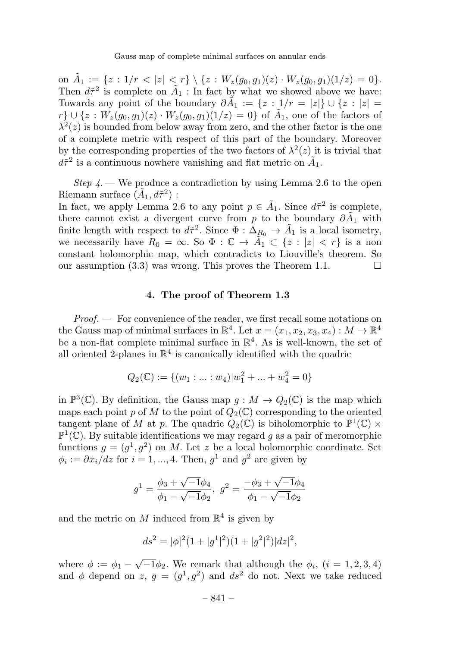on  $\tilde{A}_1 := \{z : 1/r < |z| < r\} \setminus \{z : W_z(g_0, g_1)(z) \cdot W_z(g_0, g_1)(1/z) = 0\}.$ Then  $d\tilde{\tau}^2$  is complete on  $\tilde{A}_1$  : In fact by what we showed above we have: Towards any point of the boundary  $\partial \tilde{A}_1 := \{z : 1/r = |z|\} \cup \{z : |z| = 1\}$  $r\} \cup \{z : W_z(g_0, g_1)(z) \cdot W_z(g_0, g_1)(1/z)=0\}$  of  $\tilde{A}_1$ , one of the factors of  $\lambda^2(z)$  is bounded from below away from zero, and the other factor is the one of a complete metric with respect of this part of the boundary. Moreover by the corresponding properties of the two factors of  $\lambda^2(z)$  it is trivial that  $d\tilde{\tau}^2$  is a continuous nowhere vanishing and flat metric on  $\tilde{A}_1$ .

Step  $\mu$ . We produce a contradiction by using Lemma 2.6 to the open Riemann surface  $(\tilde{A}_1, d\tilde{\tau}^2)$ :

In fact, we apply Lemma 2.6 to any point  $p \in \tilde{A}_1$ . Since  $d\tilde{\tau}^2$  is complete, there cannot exist a divergent curve from p to the boundary  $\partial \tilde{A}_1$  with finite length with respect to  $d\tilde{\tau}^2$ . Since  $\Phi : \Delta_{R_0} \to \tilde{A}_1$  is a local isometry, we necessarily have  $R_0 = \infty$ . So  $\Phi : \mathbb{C} \to \tilde{A}_1 \subset \{z : |z| < r\}$  is a non constant holomorphic map, which contradicts to Liouville's theorem. So our assumption (3.3) was wrong. This proves the Theorem 1.1.  $\Box$ 

#### 4. The proof of Theorem 1.3

Proof. — For convenience of the reader, we first recall some notations on the Gauss map of minimal surfaces in  $\mathbb{R}^4$ . Let  $x = (x_1, x_2, x_3, x_4) : M \to \mathbb{R}^4$ be a non-flat complete minimal surface in  $\mathbb{R}^4$ . As is well-known, the set of all oriented 2-planes in  $\mathbb{R}^4$  is canonically identified with the quadric

$$
Q_2(\mathbb{C}) := \{(w_1 : \dots : w_4) | w_1^2 + \dots + w_4^2 = 0\}
$$

in  $\mathbb{P}^3(\mathbb{C})$ . By definition, the Gauss map  $g: M \to Q_2(\mathbb{C})$  is the map which maps each point p of M to the point of  $Q_2(\mathbb{C})$  corresponding to the oriented tangent plane of M at p. The quadric  $Q_2(\mathbb{C})$  is biholomorphic to  $\mathbb{P}^1(\mathbb{C}) \times$  $\mathbb{P}^1(\mathbb{C})$  . By suitable identifications we may regard  $g$  as a pair of meromorphic functions  $g = (g^1, g^2)$  on M. Let z be a local holomorphic coordinate. Set  $\phi_i := \partial x_i/dz$  for  $i = 1, ..., 4$ . Then,  $q^1$  and  $q^2$  are given by

$$
g^{1} = \frac{\phi_{3} + \sqrt{-1}\phi_{4}}{\phi_{1} - \sqrt{-1}\phi_{2}}, \ g^{2} = \frac{-\phi_{3} + \sqrt{-1}\phi_{4}}{\phi_{1} - \sqrt{-1}\phi_{2}}
$$

and the metric on M induced from  $\mathbb{R}^4$  is given by

$$
ds^{2} = |\phi|^{2} (1 + |g^{1}|^{2})(1 + |g^{2}|^{2})|dz|^{2},
$$

where  $\phi := \phi_1 - \sqrt{-1} \phi_2$ . We remark that although the  $\phi_i$ ,  $(i = 1, 2, 3, 4)$ and  $\phi$  depend on z,  $g = (g^1, g^2)$  and  $ds^2$  do not. Next we take reduced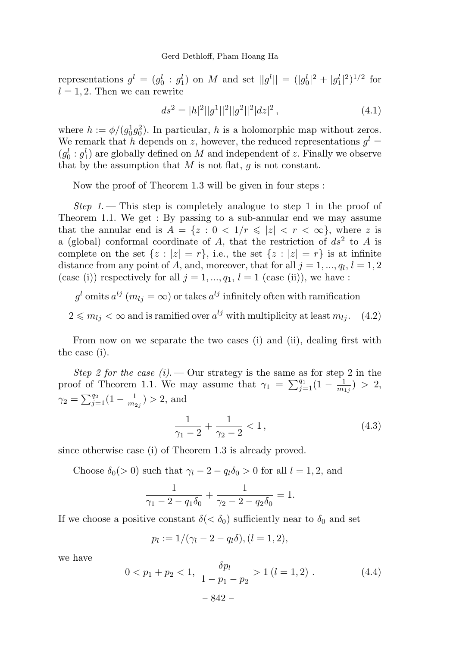representations  $g^l = (g_0^l : g_1^l)$  on M and set  $||g^l|| = (|g_0^l|^2 + |g_1^l|^2)^{1/2}$  for  $l = 1, 2$ . Then we can rewrite

$$
ds^{2} = |h|^{2}||g^{1}||^{2}||g^{2}||^{2}|dz|^{2}, \qquad (4.1)
$$

where  $h := \phi/(g_0^1 g_0^2)$ . In particular, h is a holomorphic map without zeros. We remark that h depends on z, however, the reduced representations  $g^l =$  $(g_0^l : g_1^l)$  are globally defined on M and independent of z. Finally we observe that by the assumption that  $M$  is not flat,  $g$  is not constant.

Nowthe proof of Theorem 1.3 will be given in four steps :

Step 1. – This step is completely analogue to step 1 in the proof of Theorem 1.1. We get : By passing to a sub-annular end we may assume that the annular end is  $A = \{z : 0 < 1/r \leqslant |z| < r < \infty\}$ , where z is a (global) conformal coordinate of A, that the restriction of  $ds^2$  to A is complete on the set  $\{z : |z| = r\}$ , i.e., the set  $\{z : |z| = r\}$  is at infinite distance from any point of A, and, moreover, that for all  $j = 1, ..., q_l, l = 1, 2$ (case (i)) respectively for all  $j = 1, ..., q_1, l = 1$  (case (ii)), we have :

 $g^l$  omits  $a^{lj}$   $(m_{lj} = \infty)$  or takes  $a^{lj}$  infinitely often with ramification

$$
2 \le m_{lj} < \infty
$$
 and is ramified over  $a^{lj}$  with multiplicity at least  $m_{lj}$ . (4.2)

From now on we separate the two cases (i) and (ii), dealing first with the case (i).

Step 2 for the case (i).  $\sim$  Our strategy is the same as for step 2 in the proof of Theorem 1.1. We may assume that  $\gamma_1 = \sum_{j=1}^{q_1} (1 - \frac{1}{m_{1j}}) > 2$ ,  $\gamma_2 = \sum_{j=1}^{q_2} (1 - \frac{1}{m_{2j}}) > 2$ , and

$$
\frac{1}{\gamma_1 - 2} + \frac{1}{\gamma_2 - 2} < 1,\tag{4.3}
$$

since otherwise case (i) of Theorem 1.3 is already proved.

Choose  $\delta_0$ (> 0) such that  $\gamma_l$  – 2 –  $q_l\delta_0$  > 0 for all  $l = 1, 2$ , and

$$
\frac{1}{\gamma_1 - 2 - q_1 \delta_0} + \frac{1}{\gamma_2 - 2 - q_2 \delta_0} = 1.
$$

If we choose a positive constant  $\delta(<\delta_0)$  sufficiently near to  $\delta_0$  and set

$$
p_l := 1/(\gamma_l - 2 - q_l \delta), (l = 1, 2),
$$

we have

$$
0 < p_1 + p_2 < 1, \quad \frac{\delta p_l}{1 - p_1 - p_2} > 1 \ (l = 1, 2) \ . \tag{4.4}
$$
\n
$$
-842 - 1 \ \frac{\delta p_l}{1 - p_1 - p_2} > 1 \ (l = 1, 2) \ .
$$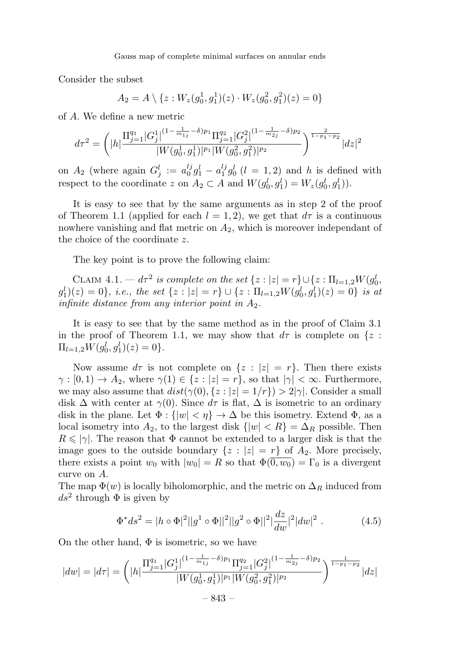Consider the subset

$$
A_2 = A \setminus \{z : W_z(g_0^1, g_1^1)(z) \cdot W_z(g_0^2, g_1^2)(z) = 0\}
$$

of A. We define a newmetric

$$
d\tau^{2} = \left( |h| \frac{\prod_{j=1}^{q_1} |G_j^1|^{(1 - \frac{1}{m_{1j}} - \delta)p_1} \prod_{j=1}^{q_2} |G_j^2|^{(1 - \frac{1}{m_{2j}} - \delta)p_2}}{|W(g_0^1, g_1^1)|^{p_1} |W(g_0^2, g_1^2)|^{p_2}} \right)^{\frac{2}{1 - p_1 - p_2}} |dz|^2
$$

on  $A_2$  (where again  $G_j^l := a_0^{lj} g_1^l - a_1^{lj} g_0^l$  ( $l = 1, 2$ ) and h is defined with respect to the coordinate z on  $A_2 \subset A$  and  $W(g_0^l, g_1^l) = W_z(g_0^l, g_1^l)$ .

It is easy to see that by the same arguments as in step 2 of the proof of Theorem 1.1 (applied for each  $l = 1, 2$ ), we get that  $d\tau$  is a continuous nowhere vanishing and flat metric on  $A_2$ , which is moreover independant of the choice of the coordinate z.

The key point is to prove the following claim:

CLAIM  $4.1. - d\tau^2$  is complete on the set  $\{z : |z| = r\} \cup \{z : \Pi_{l=1,2}W(g_0^l, \tau)\}$  $(g_1^l)(z) = 0\},\ i.e.,\ the\ set\ \{z : |z| = r\} \cup \{z : \Pi_{l=1,2}W(g_0^l, g_1^l)(z) = 0\}\$ is at infinite distance from any interior point in  $A_2$ .

It is easy to see that by the same method as in the proof of Claim 3.1 in the proof of Theorem 1.1, we may show that  $d\tau$  is complete on  $\{z :$  $\Pi_{l=1,2}W(g_0^l,g_1^l)(z)=0\}.$ 

Now assume  $d\tau$  is not complete on  $\{z : |z| = r\}$ . Then there exists  $\gamma : [0, 1) \to A_2$ , where  $\gamma(1) \in \{z : |z| = r\}$ , so that  $|\gamma| < \infty$ . Furthermore, we may also assume that  $dist(\gamma(0), \{z : |z| = 1/r\}) > 2|\gamma|$ . Consider a small disk  $\Delta$  with center at  $\gamma(0)$ . Since  $d\tau$  is flat,  $\Delta$  is isometric to an ordinary disk in the plane. Let  $\Phi : \{|w| < \eta\} \to \Delta$  be this isometry. Extend  $\Phi$ , as a local isometry into  $A_2$ , to the largest disk  $\{|w| < R\} = \Delta_R$  possible. Then  $R \leq \vert \gamma \vert$ . The reason that  $\Phi$  cannot be extended to a larger disk is that the image goes to the outside boundary  $\{z : |z| = r\}$  of  $A_2$ . More precisely, there exists a point  $w_0$  with  $|w_0| = R$  so that  $\Phi(\overline{0, w_0}) = \Gamma_0$  is a divergent curve on A.

The map  $\Phi(w)$  is locally biholomorphic, and the metric on  $\Delta_R$  induced from  $ds^2$  through  $\Phi$  is given by

$$
\Phi^* ds^2 = |h \circ \Phi|^2 ||g^1 \circ \Phi||^2 ||g^2 \circ \Phi||^2 \left| \frac{dz}{dw} \right|^2 |dw|^2.
$$
 (4.5)

On the other hand,  $\Phi$  is isometric, so we have

$$
|dw| = |d\tau| = \left(|h| \frac{\prod_{j=1}^{q_1} |G_j^1|^{(1 - \frac{1}{m_{1j}} - \delta)p_1} \prod_{j=1}^{q_2} |G_j^2|^{(1 - \frac{1}{m_{2j}} - \delta)p_2}}{|W(g_0^1, g_1^1)|^{p_1} |W(g_0^2, g_1^2)|^{p_2}}\right)^{\frac{1}{1 - p_1 - p_2}} |dz|
$$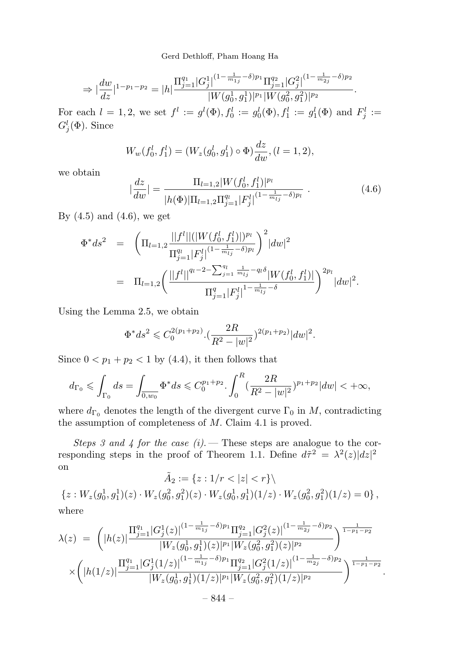$$
\Rightarrow |\dfrac{dw}{dz}|^{1-p_1-p_2} = |h|\dfrac{\Pi_{j=1}^{q_1}|G^1_j|^{(1-\frac{1}{m_{1j}}-\delta)p_1}\Pi_{j=1}^{q_2}|G^2_j|^{(1-\frac{1}{m_{2j}}-\delta)p_2}}{|W(g^1_0,g^1_1)|^{p_1}|W(g^2_0,g^2_1)|^{p_2}}.
$$

For each  $l = 1, 2$ , we set  $f^l := g^l(\Phi), f_0^l := g_0^l(\Phi), f_1^l := g_1^l(\Phi)$  and  $F_j^l :=$  $G_j^l(\Phi)$ . Since

$$
W_w(f_0^l, f_1^l) = (W_z(g_0^l, g_1^l) \circ \Phi) \frac{dz}{dw}, (l = 1, 2),
$$

we obtain

$$
\left|\frac{dz}{dw}\right| = \frac{\Pi_{l=1,2}|W(f_0^l, f_1^l)|^{p_l}}{|h(\Phi)|\Pi_{l=1,2}\Pi_{j=1}^{q_l}|F_j^l|^{(1-\frac{1}{m_{l_j}}-\delta)p_l}}.\tag{4.6}
$$

By  $(4.5)$  and  $(4.6)$ , we get

$$
\Phi^* ds^2 = \left( \Pi_{l=1,2} \frac{||f^l||(|W(f_0^l, f_1^l)|)^{p_l}}{\Pi_{j=1}^{q_l} |F_j^l|^{(1-\frac{1}{m_{l_j}} - \delta)p_l}} \right)^2 |dw|^2
$$
  
= 
$$
\Pi_{l=1,2} \left( \frac{||f^l||^{q_l-2-\sum_{j=1}^{q_l} \frac{1}{m_{l_j}} - q_l \delta} |W(f_0^l, f_1^l)|}{\Pi_{j=1}^{q} |F_j^l|^{1-\frac{1}{m_{l_j}} - \delta}} \right)^{2p_l} |dw|^2.
$$

Using the Lemma 2.5, we obtain

$$
\Phi^* ds^2 \leq C_0^{2(p_1+p_2)} \cdot \left(\frac{2R}{R^2 - |w|^2}\right)^{2(p_1+p_2)} |dw|^2.
$$

Since  $0 < p_1 + p_2 < 1$  by (4.4), it then follows that

$$
d_{\Gamma_0} \leq \int_{\Gamma_0} ds = \int_{\overline{0,w_0}} \Phi^* ds \leq C_0^{p_1+p_2} \cdot \int_0^R (\frac{2R}{R^2 - |w|^2})^{p_1+p_2} |dw| < +\infty,
$$

where  $d_{\Gamma_0}$  denotes the length of the divergent curve  $\Gamma_0$  in M, contradicting the assumption of completeness of M. Claim 4.1 is proved.

Steps 3 and 4 for the case  $(i)$ . — These steps are analogue to the corresponding steps in the proof of Theorem 1.1. Define  $d\tilde{\tau}^2 = \lambda^2(z)|dz|^2$ on

 $\tilde{A}_2 := \{z : 1/r < |z| < r\} \setminus$  ${z: W_z(g_0^1, g_1^1)(z) \cdot W_z(g_0^2, g_1^2)(z) \cdot W_z(g_0^1, g_1^1)(1/z) \cdot W_z(g_0^2, g_1^2)(1/z) = 0}$ , where

$$
\lambda(z) = \left( |h(z)| \frac{\Pi_{j=1}^{q_1} |G_j^1(z)|^{(1 - \frac{1}{m_{1j}} - \delta)p_1} \Pi_{j=1}^{q_2} |G_j^2(z)|^{(1 - \frac{1}{m_{2j}} - \delta)p_2}}{|W_z(g_0^1, g_1^1)(z)|^{p_1} |W_z(g_0^2, g_1^2)(z)|^{p_2}} \right)^{\frac{1}{1 - p_1 - p_2}}
$$
  
 
$$
\times \left( |h(1/z)| \frac{\Pi_{j=1}^{q_1} |G_j^1(1/z)|^{(1 - \frac{1}{m_{1j}} - \delta)p_1} \Pi_{j=1}^{q_2} |G_j^2(1/z)|^{(1 - \frac{1}{m_{2j}} - \delta)p_2}}{|W_z(g_0^1, g_1^1)(1/z)|^{p_1} |W_z(g_0^2, g_1^2)(1/z)|^{p_2}} \right)^{\frac{1}{1 - p_1 - p_2}}
$$

.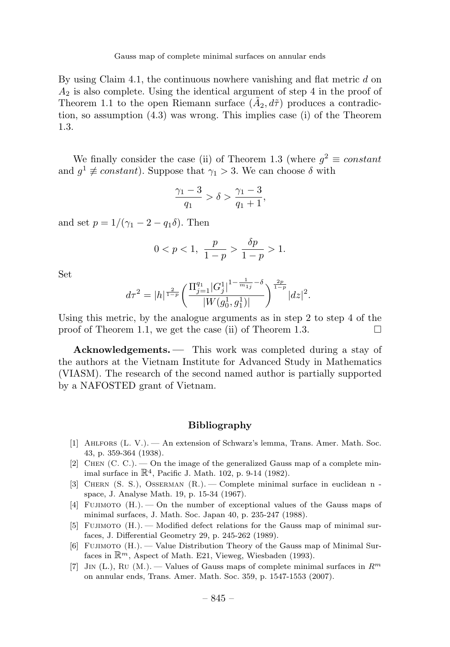Gauss map of complete minimal surfaces on annular ends

By using Claim 4.1, the continuous nowhere vanishing and flat metric  $d$  on  $A_2$  is also complete. Using the identical argument of step 4 in the proof of Theorem 1.1 to the open Riemann surface  $(\tilde{A}_2, d\tilde{\tau})$  produces a contradiction, so assumption (4.3) was wrong. This implies case (i) of the Theorem 1.3.

We finally consider the case (ii) of Theorem 1.3 (where  $q^2 \equiv constant$ and  $q^1 \not\equiv constant$ ). Suppose that  $\gamma_1 > 3$ . We can choose  $\delta$  with

$$
\frac{\gamma_1 - 3}{q_1} > \delta > \frac{\gamma_1 - 3}{q_1 + 1},
$$

and set  $p = 1/(\gamma_1 - 2 - q_1 \delta)$ . Then

$$
0 < p < 1, \ \frac{p}{1-p} > \frac{\delta p}{1-p} > 1.
$$

Set

$$
d\tau^{2} = |h|^{\frac{2}{1-p}} \left( \frac{\prod_{j=1}^{q_1} |G_j^1|^{1-\frac{1}{m_{1j}}-\delta}}{|W(g_0^1, g_1^1)|} \right)^{\frac{2p}{1-p}} |dz|^2.
$$

Using this metric, by the analogue arguments as in step 2 to step 4 of the proof of Theorem 1.1, we get the case (ii) of Theorem 1.3.

Acknowledgements. — This work was completed during a stay of the authors at the Vietnam Institute for Advanced Study in Mathematics (VIASM). The research of the second named author is partially supported by a NAFOSTED grant of Vietnam.

#### Bibliography

- [1] Ahlfors (L. V.). —An extension of Schwarz's lemma, Trans. Amer. Math. Soc. 43, p. 359-364 (1938).
- [2] CHEN  $(C, C)$ .  $\rightarrow$  On the image of the generalized Gauss map of a complete minimal surface in  $\mathbb{R}^4$ , Pacific J. Math. 102, p. 9-14 (1982).
- [3] Chern (S. S.), Osserman (R.). —Complete minimal surface in euclidean n space, J. Analyse Math. 19, p. 15-34 (1967).
- [4] Fujimoto (H.). —On the number of exceptional values of the Gauss maps of minimal surfaces, J. Math. Soc. Japan 40, p. 235-247 (1988).
- [5] FUJIMOTO  $(H.)$  Modified defect relations for the Gauss map of minimal surfaces, J. Differential Geometry 29, p. 245-262 (1989).
- [6] Fujimoto (H.). —Value Distribution Theory of the Gauss map of Minimal Surfaces in  $\mathbb{R}^m$ , Aspect of Math. E21, Vieweg, Wiesbaden (1993).
- [7] JIN (L.), RU (M.). Values of Gauss maps of complete minimal surfaces in  $R^m$ on annular ends, Trans. Amer. Math. Soc. 359, p. 1547-1553 (2007).